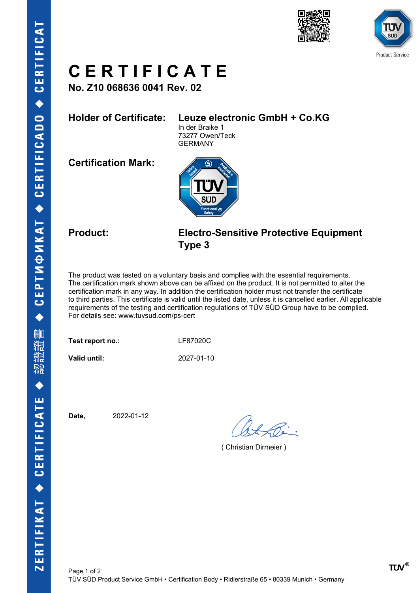



# **C E R T I F I C A T E**

**No. Z10 068636 0041 Rev. 02**

### **Holder of Certificate: Leuze electronic GmbH + Co.KG**

In der Braike 1 73277 Owen/Teck GERMANY

**Certification Mark:**



### **Product: Electro-Sensitive Protective Equipment Type 3**

The product was tested on a voluntary basis and complies with the essential requirements. The certification mark shown above can be affixed on the product. It is not permitted to alter the certification mark in any way. In addition the certification holder must not transfer the certificate to third parties. This certificate is valid until the listed date, unless it is cancelled earlier. All applicable requirements of the testing and certification regulations of TÜV SÜD Group have to be complied. For details see: www.tuvsud.com/ps-cert

**Test report no.:** LF87020C

**Valid until:** 2027-01-10

**Date,** 2022-01-12

( Christian Dirmeier )